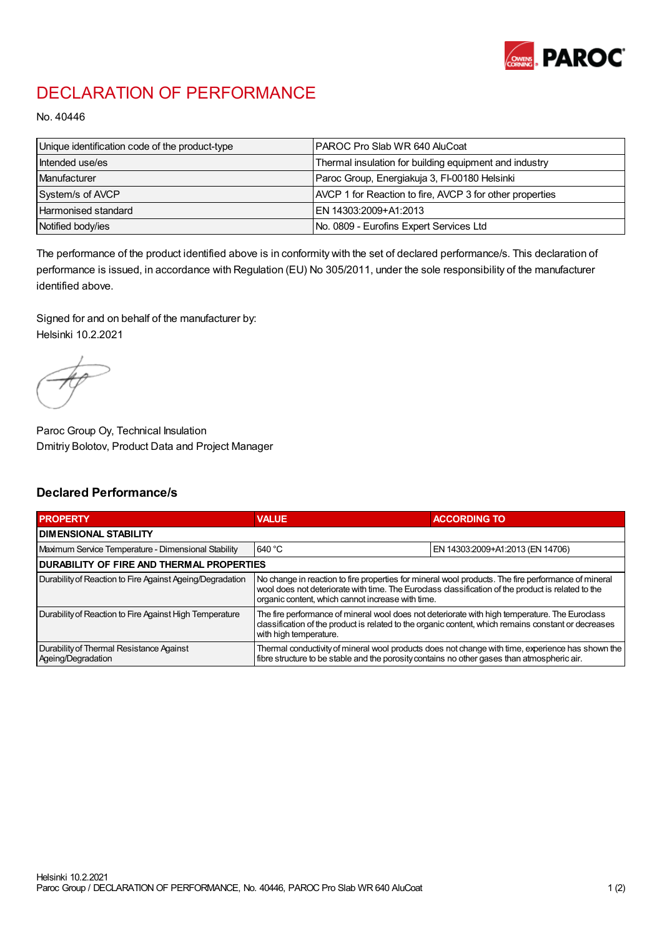

## DECLARATION OF PERFORMANCE

No. 40446

| Unique identification code of the product-type | PAROC Pro Slab WR 640 AluCoat                            |
|------------------------------------------------|----------------------------------------------------------|
| Intended use/es                                | Thermal insulation for building equipment and industry   |
| Manufacturer                                   | Paroc Group, Energiakuja 3, FI-00180 Helsinki            |
| System/s of AVCP                               | AVCP 1 for Reaction to fire, AVCP 3 for other properties |
| Harmonised standard                            | IEN 14303:2009+A1:2013                                   |
| Notified body/ies                              | No. 0809 - Eurofins Expert Services Ltd                  |

The performance of the product identified above is in conformity with the set of declared performance/s. This declaration of performance is issued, in accordance with Regulation (EU) No 305/2011, under the sole responsibility of the manufacturer identified above.

Signed for and on behalf of the manufacturer by: Helsinki 10.2.2021

Paroc Group Oy, Technical Insulation Dmitriy Bolotov, Product Data and Project Manager

## Declared Performance/s

| <b>PROPERTY</b>                                                | <b>VALUE</b>                                                                                                                                                                                                                                                   | <b>ACCORDING TO</b>              |  |
|----------------------------------------------------------------|----------------------------------------------------------------------------------------------------------------------------------------------------------------------------------------------------------------------------------------------------------------|----------------------------------|--|
| <b>DIMENSIONAL STABILITY</b>                                   |                                                                                                                                                                                                                                                                |                                  |  |
| Maximum Service Temperature - Dimensional Stability            | 640 °C                                                                                                                                                                                                                                                         | EN 14303:2009+A1:2013 (EN 14706) |  |
| <b>DURABILITY OF FIRE AND THERMAL PROPERTIES</b>               |                                                                                                                                                                                                                                                                |                                  |  |
| Durability of Reaction to Fire Against Ageing/Degradation      | No change in reaction to fire properties for mineral wool products. The fire performance of mineral<br>wool does not deteriorate with time. The Euroclass classification of the product is related to the<br>organic content, which cannot increase with time. |                                  |  |
| Durability of Reaction to Fire Against High Temperature        | The fire performance of mineral wool does not deteriorate with high temperature. The Euroclass<br>classification of the product is related to the organic content, which remains constant or decreases<br>with high temperature.                               |                                  |  |
| Durability of Thermal Resistance Against<br>Ageing/Degradation | Thermal conductivity of mineral wool products does not change with time, experience has shown the<br>fibre structure to be stable and the porosity contains no other gases than atmospheric air.                                                               |                                  |  |